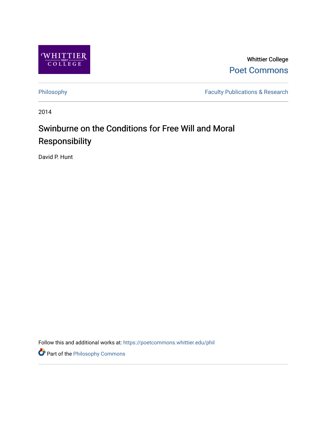

Whittier College [Poet Commons](https://poetcommons.whittier.edu/) 

[Philosophy](https://poetcommons.whittier.edu/phil) Faculty Publications & Research

2014

# Swinburne on the Conditions for Free Will and Moral Responsibility

David P. Hunt

Follow this and additional works at: [https://poetcommons.whittier.edu/phil](https://poetcommons.whittier.edu/phil?utm_source=poetcommons.whittier.edu%2Fphil%2F5&utm_medium=PDF&utm_campaign=PDFCoverPages)

Part of the [Philosophy Commons](http://network.bepress.com/hgg/discipline/525?utm_source=poetcommons.whittier.edu%2Fphil%2F5&utm_medium=PDF&utm_campaign=PDFCoverPages)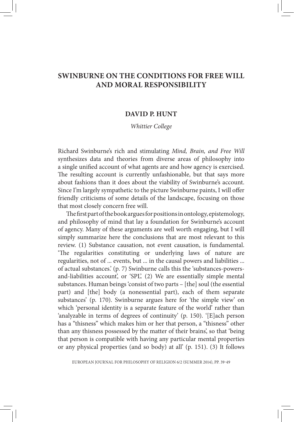# **SWINBURNE ON THE CONDITIONS FOR FREE WILL AND MORAL RESPONSIBILITY**

## **DAVID P. HUNT**

### *Whittier College*

Richard Swinburne's rich and stimulating *Mind, Brain, and Free Will* synthesizes data and theories from diverse areas of philosophy into a single unified account of what agents are and how agency is exercised. The resulting account is currently unfashionable, but that says more about fashions than it does about the viability of Swinburne's account. Since I'm largely sympathetic to the picture Swinburne paints, I will offer friendly criticisms of some details of the landscape, focusing on those that most closely concern free will.

The first part of the book argues for positions in ontology, epistemology, and philosophy of mind that lay a foundation for Swinburne's account of agency. Many of these arguments are well worth engaging, but I will simply summarize here the conclusions that are most relevant to this review. (1) Substance causation, not event causation, is fundamental. 'The regularities constituting or underlying laws of nature are regularities, not of ... events, but ... in the causal powers and liabilities ... of actual substances.' (p. 7) Swinburne calls this the 'substances-powersand-liabilities account', or 'SPL'. (2) We are essentially simple mental substances. Human beings 'consist of two parts – [the] soul (the essential part) and [the] body (a nonessential part), each of them separate substances' (p. 170). Swinburne argues here for 'the simple view' on which 'personal identity is a separate feature of the world' rather than 'analyzable in terms of degrees of continuity' (p. 150). '[E]ach person has a "thisness" which makes him or her that person, a "thisness" other than any thisness possessed by the matter of their brains', so that 'being that person is compatible with having any particular mental properties or any physical properties (and so body) at all' (p. 151). (3) It follows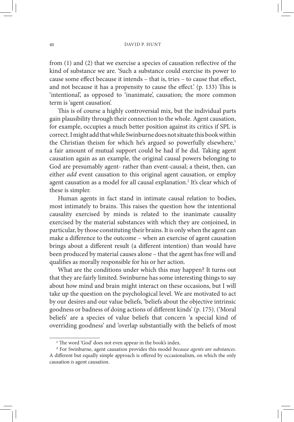from (1) and (2) that we exercise a species of causation reflective of the kind of substance we are. 'Such a substance could exercise its power to cause some effect because it intends – that is, tries – to cause that effect, and not because it has a propensity to cause the effect.' (p. 133) This is 'intentional', as opposed to 'inanimate', causation; the more common term is 'agent causation'.

This is of course a highly controversial mix, but the individual parts gain plausibility through their connection to the whole. Agent causation, for example, occupies a much better position against its critics if SPL is correct. I might add that while Swinburne does not situate this book within the Christian theism for which he's argued so powerfully elsewhere,<sup>1</sup> a fair amount of mutual support could be had if he did. Taking agent causation again as an example, the original causal powers belonging to God are presumably agent- rather than event-causal; a theist, then, can either *add* event causation to this original agent causation, or employ agent causation as a model for all causal explanation.<sup>2</sup> It's clear which of these is simpler.

Human agents in fact stand in intimate causal relation to bodies, most intimately to brains. This raises the question how the intentional causality exercised by minds is related to the inanimate causality exercised by the material substances with which they are conjoined, in particular, by those constituting their brains. It is only when the agent can make a difference to the outcome – when an exercise of agent causation brings about a different result (a different intention) than would have been produced by material causes alone – that the agent has free will and qualifies as morally responsible for his or her action.

What are the conditions under which this may happen? It turns out that they are fairly limited. Swinburne has some interesting things to say about how mind and brain might interact on these occasions, but I will take up the question on the psychological level. We are motivated to act by our desires and our value beliefs, 'beliefs about the objective intrinsic goodness or badness of doing actions of different kinds' (p. 175). ('Moral beliefs' are a species of value beliefs that concern 'a special kind of overriding goodness' and 'overlap substantially with the beliefs of most

<sup>&</sup>lt;sup>1</sup> The word 'God' does not even appear in the book's index.

<sup>2</sup> For Swinburne, agent causation provides this model *because agents are substances*. A different but equally simple approach is offered by occasionalism, on which the only causation *is* agent causation.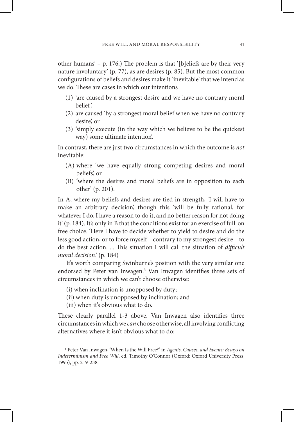other humans' – p. 176.) The problem is that '[b]eliefs are by their very nature involuntary' (p. 77), as are desires (p. 85). But the most common configurations of beliefs and desires make it 'inevitable' that we intend as we do. These are cases in which our intentions

- (1) 'are caused by a strongest desire and we have no contrary moral belief',
- (2) are caused 'by a strongest moral belief when we have no contrary desire', or
- (3) 'simply execute (in the way which we believe to be the quickest way) some ultimate intention'.

In contrast, there are just two circumstances in which the outcome is *not* inevitable:

- (A) where 'we have equally strong competing desires and moral beliefs', or
- (B) 'where the desires and moral beliefs are in opposition to each other' (p. 201).

In A, where my beliefs and desires are tied in strength, 'I will have to make an arbitrary decision', though this 'will be fully rational, for whatever I do, I have a reason to do it, and no better reason for not doing it' (p. 184). It's only in B that the conditions exist for an exercise of full-on free choice. 'Here I have to decide whether to yield to desire and do the less good action, or to force myself – contrary to my strongest desire – to do the best action. ... This situation I will call the situation of *difficult moral decision*.' (p. 184)

It's worth comparing Swinburne's position with the very similar one endorsed by Peter van Inwagen.<sup>3</sup> Van Inwagen identifies three sets of circumstances in which we can't choose otherwise:

- (i) when inclination is unopposed by duty;
- (ii) when duty is unopposed by inclination; and
- (iii) when it's obvious what to do.

These clearly parallel 1-3 above. Van Inwagen also identifies three circumstances in which we *can* choose otherwise, all involving conflicting alternatives where it isn't obvious what to do:

<sup>3</sup> Peter Van Inwagen, 'When Is the Will Free?' in *Agents, Causes, and Events: Essays on Indeterminism and Free Will*, ed. Timothy O'Connor (Oxford: Oxford University Press, 1995), pp. 219-238.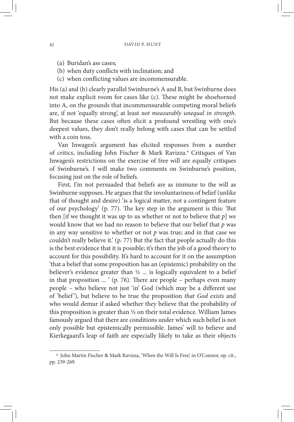- (a) Buridan's ass cases;
- (b) when duty conflicts with inclination; and
- (c) when conflicting values are incommensurable.

His (a) and (b) clearly parallel Swinburne's A and B, but Swinburne does not make explicit room for cases like (c). These might be shoehorned into A, on the grounds that incommensurable competing moral beliefs are, if not 'equally strong', at least *not measurably unequal in strength*. But because these cases often elicit a profound wrestling with one's deepest values, they don't really belong with cases that can be settled with a coin toss.

Van Inwagen's argument has elicited responses from a number of critics, including John Fischer & Mark Ravizza.<sup>4</sup> Critiques of Van Inwagen's restrictions on the exercise of free will are equally critiques of Swinburne's. I will make two comments on Swinburne's position, focusing just on the role of beliefs.

First, I'm not persuaded that beliefs are as immune to the will as Swinburne supposes. He argues that the involuntariness of belief (unlike that of thought and desire) 'is a logical matter, not a contingent feature of our psychology' (p. 77). The key step in the argument is this: 'But then [if we thought it was up to us whether or not to believe that *p*] we would know that we had no reason to believe that our belief that *p* was in any way sensitive to whether or not *p* was true; and in that case we couldn't really believe it.' (p. 77) But the fact that people actually do this is the best evidence that it is possible; it's then the job of a good theory to account for this possibility. It's hard to account for it on the assumption 'that a belief that some proposition has an (epistemic) probability on the believer's evidence greater than ½ ... is logically equivalent to a belief in that proposition ... ' (p. 76). There are people – perhaps even many people – who believe not just 'in' God (which may be a different use of 'belief '), but believe to be true the proposition *that God exists* and who would demur if asked whether they believe that the probability of this proposition is greater than ½ on their total evidence. William James famously argued that there are conditions under which such belief is not only possible but epistemically permissible. James' will to believe and Kierkegaard's leap of faith are especially likely to take as their objects

<sup>4</sup> John Martin Fischer & Mark Ravizza, 'When the Will Is Free', in O'Connor, op. cit., pp. 239-269.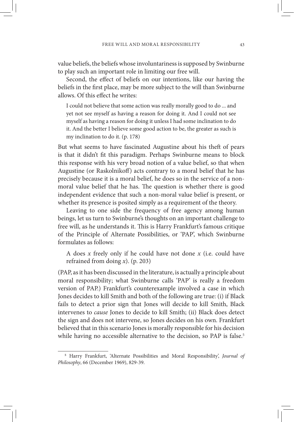value beliefs, the beliefs whose involuntariness is supposed by Swinburne to play such an important role in limiting our free will.

Second, the effect of beliefs on our intentions, like our having the beliefs in the first place, may be more subject to the will than Swinburne allows. Of this effect he writes:

I could not believe that some action was really morally good to do ... and yet not see myself as having a reason for doing it. And I could not see myself as having a reason for doing it unless I had some inclination to do it. And the better I believe some good action to be, the greater as such is my inclination to do it. (p. 178)

But what seems to have fascinated Augustine about his theft of pears is that it didn't fit this paradigm. Perhaps Swinburne means to block this response with his very broad notion of a value belief, so that when Augustine (or Raskolnikoff) acts contrary to a moral belief that he has precisely because it is a moral belief, he does so in the service of a nonmoral value belief that he has. The question is whether there is good independent evidence that such a non-moral value belief is present, or whether its presence is posited simply as a requirement of the theory.

Leaving to one side the frequency of free agency among human beings, let us turn to Swinburne's thoughts on an important challenge to free will, as he understands it. This is Harry Frankfurt's famous critique of the Principle of Alternate Possibilities, or 'PAP', which Swinburne formulates as follows:

A does *x* freely only if he could have not done *x* (i.e. could have refrained from doing *x*). (p. 203)

(PAP, as it has been discussed in the literature, is actually a principle about moral responsibility; what Swinburne calls 'PAP' is really a freedom version of PAP.) Frankfurt's counterexample involved a case in which Jones decides to kill Smith and both of the following are true: (i) if Black fails to detect a prior sign that Jones will decide to kill Smith, Black intervenes to *cause* Jones to decide to kill Smith; (ii) Black does detect the sign and does not intervene, so Jones decides on his own. Frankfurt believed that in this scenario Jones is morally responsible for his decision while having no accessible alternative to the decision, so PAP is false.<sup>5</sup>

<sup>5</sup> Harry Frankfurt, 'Alternate Possibilities and Moral Responsibility', *Journal of Philosophy*, 66 (December 1969), 829-39.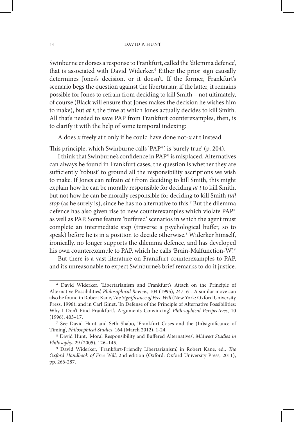Swinburne endorses a response to Frankfurt, called the 'dilemma defence', that is associated with David Widerker.<sup>6</sup> Either the prior sign causally determines Jones's decision, or it doesn't. If the former, Frankfurt's scenario begs the question against the libertarian; if the latter, it remains possible for Jones to refrain from deciding to kill Smith – not ultimately, of course (Black will ensure that Jones makes the decision he wishes him to make), but *at t*, the time at which Jones actually decides to kill Smith. All that's needed to save PAP from Frankfurt counterexamples, then, is to clarify it with the help of some temporal indexing:

A does *x* freely at t only if he could have done not-*x* at t instead.

This principle, which Swinburne calls 'PAP\*', is 'surely true' (p. 204).

I think that Swinburne's confidence in PAP\* is misplaced. Alternatives can always be found in Frankfurt cases; the question is whether they are sufficiently 'robust' to ground all the responsibility ascriptions we wish to make. If Jones can refrain *at t* from deciding to kill Smith, this might explain how he can be morally responsible for deciding *at t* to kill Smith, but not how he can be morally responsible for deciding to kill Smith *full*  stop (as he surely is), since he has no alternative to this.<sup>7</sup> But the dilemma defence has also given rise to new counterexamples which violate PAP\* as well as PAP. Some feature 'buffered' scenarios in which the agent must complete an intermediate step (traverse a psychological buffer, so to speak) before he is in a position to decide otherwise.<sup>8</sup> Widerker himself, ironically, no longer supports the dilemma defence, and has developed his own counterexample to PAP, which he calls 'Brain-Malfunction-W'.9

But there is a vast literature on Frankfurt counterexamples to PAP, and it's unreasonable to expect Swinburne's brief remarks to do it justice.

<sup>6</sup> David Widerker, 'Libertarianism and Frankfurt's Attack on the Principle of Alternative Possibilities', *Philosophical Review*, 104 (1995), 247–61. A similar move can also be found in Robert Kane, *The Significance of Free Will* (New York: Oxford University Press, 1996), and in Carl Ginet, 'In Defense of the Principle of Alternative Possibilities: Why I Don't Find Frankfurt's Arguments Convincing', *Philosophical Perspectives*, 10 (1996), 403–17. 7 See David Hunt and Seth Shabo, 'Frankfurt Cases and the (In)significance of

Timing', *Philosophical Studies*, 164 (March 2012), 1-24. 8 David Hunt, 'Moral Responsibility and Buffered Alternatives', *Midwest Studies in* 

*Philosophy*, 29 (2005), 126–145. 9 David Widerker, 'Frankfurt-Friendly Libertarianism', in Robert Kane, ed., *The* 

*Oxford Handbook of Free Will*, 2nd edition (Oxford: Oxford University Press, 2011), pp. 266-287.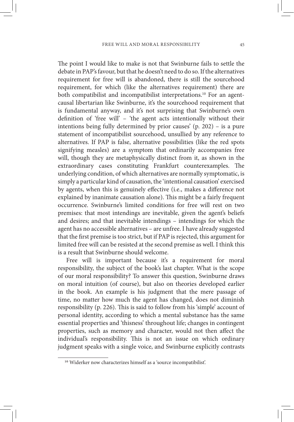The point I would like to make is not that Swinburne fails to settle the debate in PAP's favour, but that he doesn't need to do so. If the alternatives requirement for free will is abandoned, there is still the sourcehood requirement, for which (like the alternatives requirement) there are both compatibilist and incompatibilist interpretations.<sup>10</sup> For an agentcausal libertarian like Swinburne, it's the sourcehood requirement that is fundamental anyway, and it's not surprising that Swinburne's own definition of 'free will' - 'the agent acts intentionally without their intentions being fully determined by prior causes' (p. 202) – is a pure statement of incompatibilist sourcehood, unsullied by any reference to alternatives. If PAP is false, alternative possibilities (like the red spots signifying measles) are a symptom that ordinarily accompanies free will, though they are metaphysically distinct from it, as shown in the extraordinary cases constituting Frankfurt counterexamples. The underlying condition, of which alternatives are normally symptomatic, is simply a particular kind of causation, the 'intentional causation' exercised by agents, when this is genuinely effective (i.e., makes a difference not explained by inanimate causation alone). This might be a fairly frequent occurrence. Swinburne's limited conditions for free will rest on two premises: that most intendings are inevitable, given the agent's beliefs and desires; and that inevitable intendings – intendings for which the agent has no accessible alternatives – are unfree. I have already suggested that the first premise is too strict, but if PAP is rejected, this argument for limited free will can be resisted at the second premise as well. I think this is a result that Swinburne should welcome.

Free will is important because it's a requirement for moral responsibility, the subject of the book's last chapter. What is the scope of our moral responsibility? To answer this question, Swinburne draws on moral intuition (of course), but also on theories developed earlier in the book. An example is his judgment that the mere passage of time, no matter how much the agent has changed, does not diminish responsibility (p. 226). This is said to follow from his 'simple' account of personal identity, according to which a mental substance has the same essential properties and 'thisness' throughout life; changes in contingent properties, such as memory and character, would not then affect the individual's responsibility. This is not an issue on which ordinary judgment speaks with a single voice, and Swinburne explicitly contrasts

<sup>10</sup> Widerker now characterizes himself as a 'source incompatibilist'.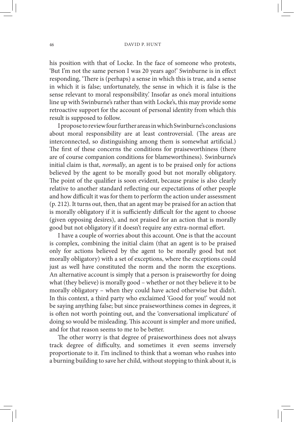his position with that of Locke. In the face of someone who protests, 'But I'm not the same person I was 20 years ago!' Swinburne is in effect responding, 'There is (perhaps) a sense in which this is true, and a sense in which it is false; unfortunately, the sense in which it is false is the sense relevant to moral responsibility.' Insofar as one's moral intuitions line up with Swinburne's rather than with Locke's, this may provide some retroactive support for the account of personal identity from which this result is supposed to follow.

I propose to review four further areas in which Swinburne's conclusions about moral responsibility are at least controversial. (The areas are interconnected, so distinguishing among them is somewhat artificial.) The first of these concerns the conditions for praiseworthiness (there are of course companion conditions for blameworthiness). Swinburne's initial claim is that, *normally*, an agent is to be praised only for actions believed by the agent to be morally good but not morally obligatory. The point of the qualifier is soon evident, because praise is also clearly relative to another standard reflecting our expectations of other people and how difficult it was for them to perform the action under assessment (p. 212). It turns out, then, that an agent may be praised for an action that is morally obligatory if it is sufficiently difficult for the agent to choose (given opposing desires), and not praised for an action that is morally good but not obligatory if it doesn't require any extra-normal effort.

I have a couple of worries about this account. One is that the account is complex, combining the initial claim (that an agent is to be praised only for actions believed by the agent to be morally good but not morally obligatory) with a set of exceptions, where the exceptions could just as well have constituted the norm and the norm the exceptions. An alternative account is simply that a person is praiseworthy for doing what (they believe) is morally good – whether or not they believe it to be morally obligatory – when they could have acted otherwise but didn't. In this context, a third party who exclaimed 'Good for you!' would not be saying anything false; but since praiseworthiness comes in degrees, it is often not worth pointing out, and the 'conversational implicature' of doing so would be misleading. This account is simpler and more unified, and for that reason seems to me to be better.

The other worry is that degree of praiseworthiness does not always track degree of difficulty, and sometimes it even seems inversely proportionate to it. I'm inclined to think that a woman who rushes into a burning building to save her child, without stopping to think about it, is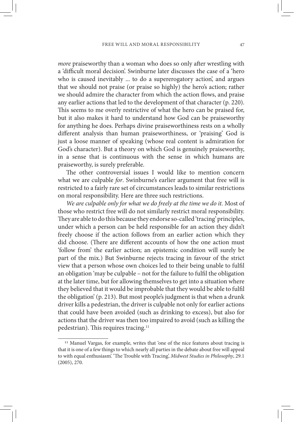*more* praiseworthy than a woman who does so only after wrestling with a 'difficult moral decision'. Swinburne later discusses the case of a 'hero who is caused inevitably ... to do a supererogatory action', and argues that we should not praise (or praise so highly) the hero's action; rather we should admire the character from which the action flows, and praise any earlier actions that led to the development of that character (p. 220). This seems to me overly restrictive of what the hero can be praised for, but it also makes it hard to understand how God can be praiseworthy for anything he does. Perhaps divine praiseworthiness rests on a wholly different analysis than human praiseworthiness, or 'praising' God is just a loose manner of speaking (whose real content is admiration for God's character). But a theory on which God is genuinely praiseworthy, in a sense that is continuous with the sense in which humans are praiseworthy, is surely preferable.

The other controversial issues I would like to mention concern what we are culpable *for*. Swinburne's earlier argument that free will is restricted to a fairly rare set of circumstances leads to similar restrictions on moral responsibility. Here are three such restrictions.

*We are culpable only for what we do freely at the time we do it.* Most of those who restrict free will do not similarly restrict moral responsibility. They are able to do this because they endorse so-called 'tracing' principles, under which a person can be held responsible for an action they didn't freely choose if the action follows from an earlier action which they did choose. (There are different accounts of how the one action must 'follow from' the earlier action; an epistemic condition will surely be part of the mix.) But Swinburne rejects tracing in favour of the strict view that a person whose own choices led to their being unable to fulfil an obligation 'may be culpable – not for the failure to fulfil the obligation at the later time, but for allowing themselves to get into a situation where they believed that it would be improbable that they would be able to fulfil the obligation' (p. 213). But most people's judgment is that when a drunk driver kills a pedestrian, the driver is culpable not only for earlier actions that could have been avoided (such as drinking to excess), but also for actions that the driver was then too impaired to avoid (such as killing the pedestrian). This requires tracing.<sup>11</sup>

<sup>&</sup>lt;sup>11</sup> Manuel Vargas, for example, writes that 'one of the nice features about tracing is that it is one of a few things to which nearly all parties in the debate about free will appeal to with equal enthusiasm'. 'The Trouble with Tracing', *Midwest Studies in Philosophy*, 29.1 (2005), 270.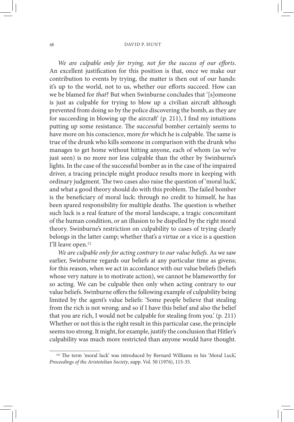*We are culpable only for trying, not for the success of our efforts*. An excellent justification for this position is that, once we make our contribution to events by trying, the matter is then out of our hands: it's up to the world, not to us, whether our efforts succeed. How can we be blamed for *that*? But when Swinburne concludes that '[s]omeone is just as culpable for trying to blow up a civilian aircraft although prevented from doing so by the police discovering the bomb, as they are for succeeding in blowing up the aircraft' (p. 211), I find my intuitions putting up some resistance. The successful bomber certainly seems to have more on his conscience, more *for* which he is culpable. The same is true of the drunk who kills someone in comparison with the drunk who manages to get home without hitting anyone, each of whom (as we've just seen) is no more nor less culpable than the other by Swinburne's lights. In the case of the successful bomber as in the case of the impaired driver, a tracing principle might produce results more in keeping with ordinary judgment. The two cases also raise the question of 'moral luck', and what a good theory should do with this problem. The failed bomber is the beneficiary of moral luck: through no credit to himself, he has been spared responsibility for multiple deaths. The question is whether such luck is a real feature of the moral landscape, a tragic concomitant of the human condition, or an illusion to be dispelled by the right moral theory. Swinburne's restriction on culpability to cases of trying clearly belongs in the latter camp; whether that's a virtue or a vice is a question I'll leave open.12

*We are culpable only for acting contrary to our value beliefs.* As we saw earlier, Swinburne regards our beliefs at any particular time as givens; for this reason, when we act in accordance with our value beliefs (beliefs whose very nature is to motivate action), we cannot be blameworthy for so acting. We can be culpable then only when acting contrary to our value beliefs. Swinburne offers the following example of culpability being limited by the agent's value beliefs: 'Some people believe that stealing from the rich is not wrong; and so if I have this belief and also the belief that you are rich, I would not be culpable for stealing from you.' (p. 211) Whether or not this is the right result in this particular case, the principle seems too strong. It might, for example, justify the conclusion that Hitler's culpability was much more restricted than anyone would have thought.

<sup>&</sup>lt;sup>12</sup> The term 'moral luck' was introduced by Bernard Williams in his 'Moral Luck', *Proceedings of the Aristotelian Society*, supp. Vol. 50 (1976), 115-35.